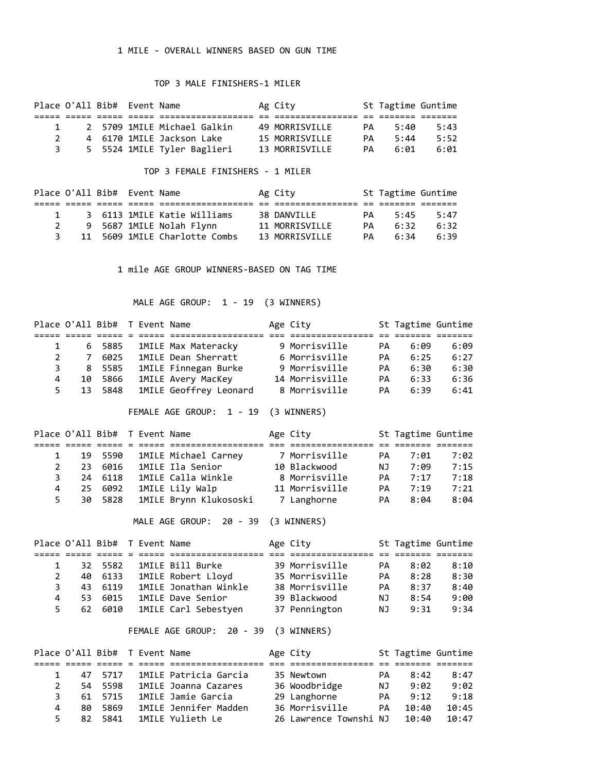## 1 MILE - OVERALL WINNERS BASED ON GUN TIME

## TOP 3 MALE FINISHERS-1 MILER

|  | Place O'All Bib# Event Name |                             | Ag City        |     | St Tagtime Guntime |      |
|--|-----------------------------|-----------------------------|----------------|-----|--------------------|------|
|  |                             |                             |                |     |                    |      |
|  |                             | 2 5709 1MILE Michael Galkin | 49 MORRISVILLE | PA. | 5:40               | 5:43 |
|  |                             | 4 6170 1MILE Jackson Lake   | 15 MORRISVILLE | PА  | 5:44               | 5:52 |
|  |                             | 5 5524 1MILE Tyler Baglieri | 13 MORRISVILLE | PА. | 6:01               | 6:01 |

TOP 3 FEMALE FINISHERS - 1 MILER

|              | Place O'All Bib# Event Name |                               | Ag City        |    | St Tagtime Guntime |      |
|--------------|-----------------------------|-------------------------------|----------------|----|--------------------|------|
|              |                             |                               |                |    |                    |      |
| $\mathbf{1}$ |                             | 3 6113 1MILE Katie Williams   | 38 DANVILLE    | PA | 5:45               | 5:47 |
|              |                             | 9 5687 1MILE Nolah Flynn      | 11 MORRISVILLE | PA | 6:32               | 6:32 |
| 3            |                             | 11 5609 1MILE Charlotte Combs | 13 MORRISVILLE | PA | 6:34               | 6:39 |

1 mile AGE GROUP WINNERS-BASED ON TAG TIME

MALE AGE GROUP: 1 - 19 (3 WINNERS)

|   |    | Place O'All Bib# T Event Name |  |                            | Age City       |           | St Tagtime Guntime |      |
|---|----|-------------------------------|--|----------------------------|----------------|-----------|--------------------|------|
|   |    |                               |  |                            |                |           |                    |      |
|   |    | 6 5885                        |  | 1MILE Max Materacky        | 9 Morrisville  | PА        | 6:09               | 6:09 |
|   | 7  | 6025                          |  | <b>1MILE Dean Sherratt</b> | 6 Morrisville  | PA        | 6:25               | 6:27 |
|   | 8  | 5585                          |  | 1MILE Finnegan Burke       | 9 Morrisville  | <b>PA</b> | 6:30               | 6:30 |
| 4 | 10 | 5866                          |  | 1MILE Avery MacKey         | 14 Morrisville | <b>PA</b> | 6:33               | 6:36 |
|   | 13 | 5848                          |  | 1MILE Geoffrey Leonard     | 8 Morrisville  | PA        | 6:39               | 6:41 |

FEMALE AGE GROUP: 1 - 19 (3 WINNERS)

|   |     | Place O'All Bib# T Event Name |  |                        | Age City       |     | St Tagtime Guntime |      |
|---|-----|-------------------------------|--|------------------------|----------------|-----|--------------------|------|
|   |     |                               |  |                        |                |     |                    |      |
|   |     | 19 5590                       |  | 1MILE Michael Carney   | 7 Morrisville  | PA. | 7:01               | 7:02 |
|   | 23. | 6016                          |  | 1MILE Ila Senior       | 10 Blackwood   | NJ. | 7:09               | 7:15 |
|   | 24  | 6118                          |  | 1MILE Calla Winkle     | 8 Morrisville  | PA  | 7:17               | 7:18 |
| 4 | 25. | 6092                          |  | 1MILE Lily Walp        | 11 Morrisville | PA  | 7:19               | 7:21 |
|   |     | 30 5828                       |  | 1MILE Brynn Klukososki | 7 Langhorne    | PA  | 8:04               | 8:04 |

MALE AGE GROUP: 20 - 39 (3 WINNERS)

|   |     | Place O'All Bib# T Event Name |  |                       | Age City       |           | St Tagtime Guntime |      |
|---|-----|-------------------------------|--|-----------------------|----------------|-----------|--------------------|------|
|   |     |                               |  |                       |                |           |                    |      |
|   | 32. | 5582                          |  | 1MILE Bill Burke      | 39 Morrisville | PA.       | 8:02               | 8:10 |
|   | 40  | 6133                          |  | 1MILE Robert Lloyd    | 35 Morrisville | PA        | 8:28               | 8:30 |
|   | 43. | 6119                          |  | 1MILE Jonathan Winkle | 38 Morrisville | <b>PA</b> | 8:37               | 8:40 |
| 4 | 53. | 6015                          |  | 1MILE Dave Senior     | 39 Blackwood   | NJ.       | 8:54               | 9:00 |
|   |     | 62 6010                       |  | 1MILE Carl Sebestyen  | 37 Pennington  | NJ.       | 9:31               | 9:34 |

FEMALE AGE GROUP: 20 - 39 (3 WINNERS)

|    |     | Place O'All Bib# T Event Name |  |                              | Age City               |    | St Tagtime Guntime |       |  |
|----|-----|-------------------------------|--|------------------------------|------------------------|----|--------------------|-------|--|
|    |     |                               |  |                              |                        |    |                    |       |  |
|    |     | 47 5717                       |  | 1MILE Patricia Garcia        | 35 Newtown             | PA | 8:42               | 8:47  |  |
|    | 54  | 5598                          |  | 1MILE Joanna Cazares         | 36 Woodbridge          | ΝJ | 9:02               | 9:02  |  |
| 3. |     | 61 5715                       |  | 1MILE Jamie Garcia           | 29 Langhorne           | PA | 9:12               | 9:18  |  |
| 4  | 80. | 5869                          |  | <b>1MILE Jennifer Madden</b> | 36 Morrisville         | PА | 10:40              | 10:45 |  |
|    | 82. | 5841                          |  | 1MILE Yulieth Le             | 26 Lawrence Townshi NJ |    | 10:40              | 10:47 |  |